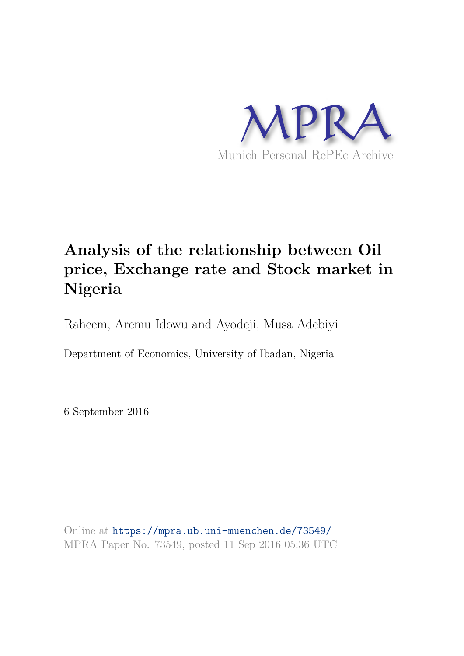

# **Analysis of the relationship between Oil price, Exchange rate and Stock market in Nigeria**

Raheem, Aremu Idowu and Ayodeji, Musa Adebiyi

Department of Economics, University of Ibadan, Nigeria

6 September 2016

Online at https://mpra.ub.uni-muenchen.de/73549/ MPRA Paper No. 73549, posted 11 Sep 2016 05:36 UTC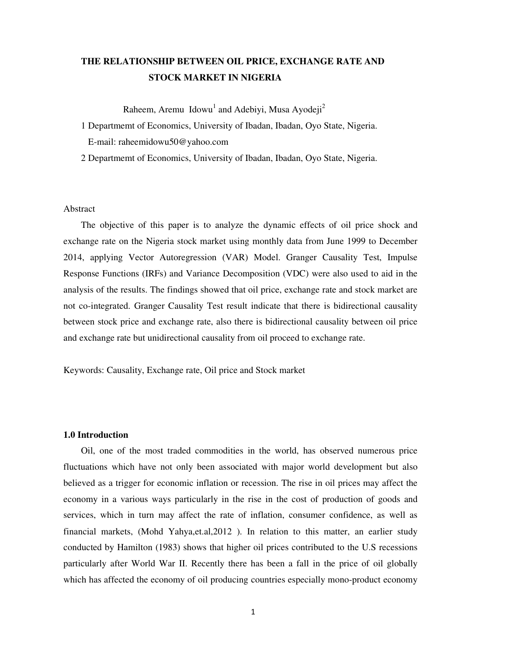# **THE RELATIONSHIP BETWEEN OIL PRICE, EXCHANGE RATE AND STOCK MARKET IN NIGERIA**

Raheem, Aremu Idowu<sup>1</sup> and Adebiyi, Musa Ayodeji<sup>2</sup>

1 Departmemt of Economics, University of Ibadan, Ibadan, Oyo State, Nigeria. E-mail: raheemidowu50@yahoo.com

2 Departmemt of Economics, University of Ibadan, Ibadan, Oyo State, Nigeria.

#### Abstract

The objective of this paper is to analyze the dynamic effects of oil price shock and exchange rate on the Nigeria stock market using monthly data from June 1999 to December 2014, applying Vector Autoregression (VAR) Model. Granger Causality Test, Impulse Response Functions (IRFs) and Variance Decomposition (VDC) were also used to aid in the analysis of the results. The findings showed that oil price, exchange rate and stock market are not co-integrated. Granger Causality Test result indicate that there is bidirectional causality between stock price and exchange rate, also there is bidirectional causality between oil price and exchange rate but unidirectional causality from oil proceed to exchange rate.

Keywords: Causality, Exchange rate, Oil price and Stock market

#### **1.0 Introduction**

Oil, one of the most traded commodities in the world, has observed numerous price fluctuations which have not only been associated with major world development but also believed as a trigger for economic inflation or recession. The rise in oil prices may affect the economy in a various ways particularly in the rise in the cost of production of goods and services, which in turn may affect the rate of inflation, consumer confidence, as well as financial markets, (Mohd Yahya,et.al,2012 ). In relation to this matter, an earlier study conducted by Hamilton (1983) shows that higher oil prices contributed to the U.S recessions particularly after World War II. Recently there has been a fall in the price of oil globally which has affected the economy of oil producing countries especially mono-product economy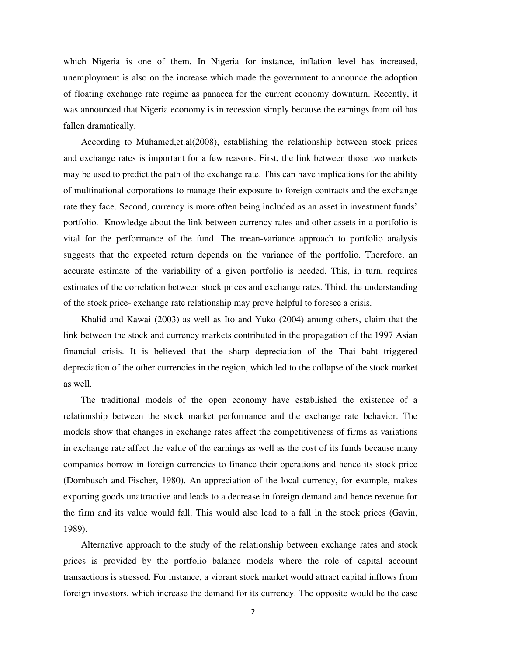which Nigeria is one of them. In Nigeria for instance, inflation level has increased, unemployment is also on the increase which made the government to announce the adoption of floating exchange rate regime as panacea for the current economy downturn. Recently, it was announced that Nigeria economy is in recession simply because the earnings from oil has fallen dramatically.

 According to Muhamed,et.al(2008), establishing the relationship between stock prices and exchange rates is important for a few reasons. First, the link between those two markets may be used to predict the path of the exchange rate. This can have implications for the ability of multinational corporations to manage their exposure to foreign contracts and the exchange rate they face. Second, currency is more often being included as an asset in investment funds' portfolio. Knowledge about the link between currency rates and other assets in a portfolio is vital for the performance of the fund. The mean-variance approach to portfolio analysis suggests that the expected return depends on the variance of the portfolio. Therefore, an accurate estimate of the variability of a given portfolio is needed. This, in turn, requires estimates of the correlation between stock prices and exchange rates. Third, the understanding of the stock price- exchange rate relationship may prove helpful to foresee a crisis.

 Khalid and Kawai (2003) as well as Ito and Yuko (2004) among others, claim that the link between the stock and currency markets contributed in the propagation of the 1997 Asian financial crisis. It is believed that the sharp depreciation of the Thai baht triggered depreciation of the other currencies in the region, which led to the collapse of the stock market as well.

The traditional models of the open economy have established the existence of a relationship between the stock market performance and the exchange rate behavior. The models show that changes in exchange rates affect the competitiveness of firms as variations in exchange rate affect the value of the earnings as well as the cost of its funds because many companies borrow in foreign currencies to finance their operations and hence its stock price (Dornbusch and Fischer, 1980). An appreciation of the local currency, for example, makes exporting goods unattractive and leads to a decrease in foreign demand and hence revenue for the firm and its value would fall. This would also lead to a fall in the stock prices (Gavin, 1989).

Alternative approach to the study of the relationship between exchange rates and stock prices is provided by the portfolio balance models where the role of capital account transactions is stressed. For instance, a vibrant stock market would attract capital inflows from foreign investors, which increase the demand for its currency. The opposite would be the case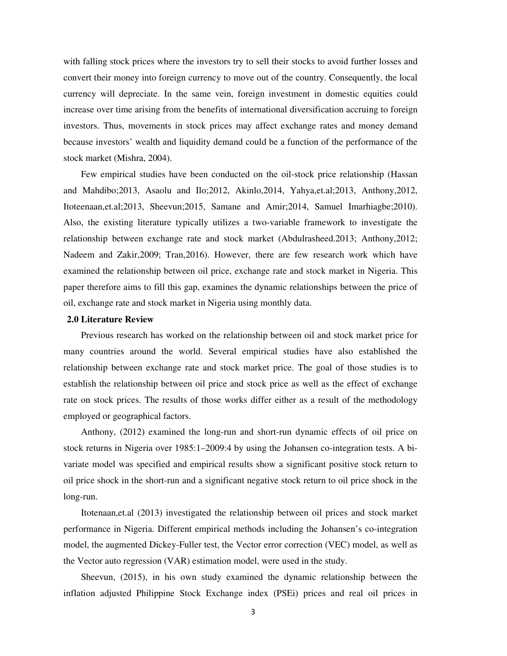with falling stock prices where the investors try to sell their stocks to avoid further losses and convert their money into foreign currency to move out of the country. Consequently, the local currency will depreciate. In the same vein, foreign investment in domestic equities could increase over time arising from the benefits of international diversification accruing to foreign investors. Thus, movements in stock prices may affect exchange rates and money demand because investors' wealth and liquidity demand could be a function of the performance of the stock market (Mishra, 2004).

Few empirical studies have been conducted on the oil-stock price relationship (Hassan and Mahdibo;2013, Asaolu and Ilo;2012, Akinlo,2014, Yahya,et.al;2013, Anthony,2012, Itoteenaan,et.al;2013, Sheevun;2015, Samane and Amir;2014, Samuel Imarhiagbe;2010). Also, the existing literature typically utilizes a two-variable framework to investigate the relationship between exchange rate and stock market (Abdulrasheed.2013; Anthony,2012; Nadeem and Zakir,2009; Tran,2016). However, there are few research work which have examined the relationship between oil price, exchange rate and stock market in Nigeria. This paper therefore aims to fill this gap, examines the dynamic relationships between the price of oil, exchange rate and stock market in Nigeria using monthly data.

#### **2.0 Literature Review**

 Previous research has worked on the relationship between oil and stock market price for many countries around the world. Several empirical studies have also established the relationship between exchange rate and stock market price. The goal of those studies is to establish the relationship between oil price and stock price as well as the effect of exchange rate on stock prices. The results of those works differ either as a result of the methodology employed or geographical factors.

 Anthony, (2012) examined the long-run and short-run dynamic effects of oil price on stock returns in Nigeria over 1985:1–2009:4 by using the Johansen co-integration tests. A bivariate model was specified and empirical results show a significant positive stock return to oil price shock in the short-run and a significant negative stock return to oil price shock in the long-run.

Itotenaan,et.al (2013) investigated the relationship between oil prices and stock market performance in Nigeria. Different empirical methods including the Johansen's co-integration model, the augmented Dickey-Fuller test, the Vector error correction (VEC) model, as well as the Vector auto regression (VAR) estimation model, were used in the study.

 Sheevun, (2015), in his own study examined the dynamic relationship between the inflation adjusted Philippine Stock Exchange index (PSEi) prices and real oil prices in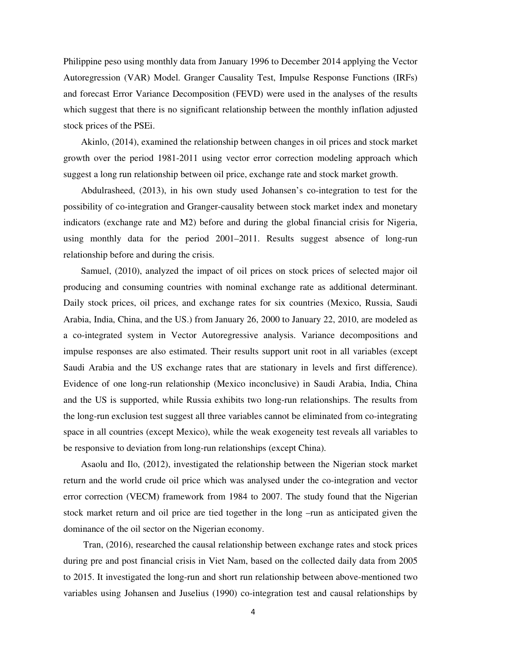Philippine peso using monthly data from January 1996 to December 2014 applying the Vector Autoregression (VAR) Model. Granger Causality Test, Impulse Response Functions (IRFs) and forecast Error Variance Decomposition (FEVD) were used in the analyses of the results which suggest that there is no significant relationship between the monthly inflation adjusted stock prices of the PSEi.

 Akinlo, (2014), examined the relationship between changes in oil prices and stock market growth over the period 1981-2011 using vector error correction modeling approach which suggest a long run relationship between oil price, exchange rate and stock market growth.

 Abdulrasheed, (2013), in his own study used Johansen's co-integration to test for the possibility of co-integration and Granger-causality between stock market index and monetary indicators (exchange rate and M2) before and during the global financial crisis for Nigeria, using monthly data for the period 2001–2011. Results suggest absence of long-run relationship before and during the crisis.

 Samuel, (2010), analyzed the impact of oil prices on stock prices of selected major oil producing and consuming countries with nominal exchange rate as additional determinant. Daily stock prices, oil prices, and exchange rates for six countries (Mexico, Russia, Saudi Arabia, India, China, and the US.) from January 26, 2000 to January 22, 2010, are modeled as a co-integrated system in Vector Autoregressive analysis. Variance decompositions and impulse responses are also estimated. Their results support unit root in all variables (except Saudi Arabia and the US exchange rates that are stationary in levels and first difference). Evidence of one long-run relationship (Mexico inconclusive) in Saudi Arabia, India, China and the US is supported, while Russia exhibits two long-run relationships. The results from the long-run exclusion test suggest all three variables cannot be eliminated from co-integrating space in all countries (except Mexico), while the weak exogeneity test reveals all variables to be responsive to deviation from long-run relationships (except China).

 Asaolu and Ilo, (2012), investigated the relationship between the Nigerian stock market return and the world crude oil price which was analysed under the co-integration and vector error correction (VECM) framework from 1984 to 2007. The study found that the Nigerian stock market return and oil price are tied together in the long –run as anticipated given the dominance of the oil sector on the Nigerian economy.

 Tran, (2016), researched the causal relationship between exchange rates and stock prices during pre and post financial crisis in Viet Nam, based on the collected daily data from 2005 to 2015. It investigated the long-run and short run relationship between above-mentioned two variables using Johansen and Juselius (1990) co-integration test and causal relationships by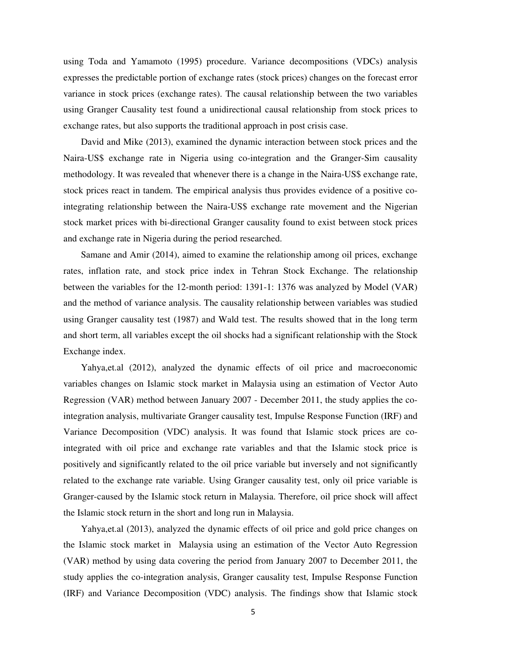using Toda and Yamamoto (1995) procedure. Variance decompositions (VDCs) analysis expresses the predictable portion of exchange rates (stock prices) changes on the forecast error variance in stock prices (exchange rates). The causal relationship between the two variables using Granger Causality test found a unidirectional causal relationship from stock prices to exchange rates, but also supports the traditional approach in post crisis case.

 David and Mike (2013), examined the dynamic interaction between stock prices and the Naira-US\$ exchange rate in Nigeria using co-integration and the Granger-Sim causality methodology. It was revealed that whenever there is a change in the Naira-US\$ exchange rate, stock prices react in tandem. The empirical analysis thus provides evidence of a positive cointegrating relationship between the Naira-US\$ exchange rate movement and the Nigerian stock market prices with bi-directional Granger causality found to exist between stock prices and exchange rate in Nigeria during the period researched.

 Samane and Amir (2014), aimed to examine the relationship among oil prices, exchange rates, inflation rate, and stock price index in Tehran Stock Exchange. The relationship between the variables for the 12-month period: 1391-1: 1376 was analyzed by Model (VAR) and the method of variance analysis. The causality relationship between variables was studied using Granger causality test (1987) and Wald test. The results showed that in the long term and short term, all variables except the oil shocks had a significant relationship with the Stock Exchange index.

 Yahya,et.al (2012), analyzed the dynamic effects of oil price and macroeconomic variables changes on Islamic stock market in Malaysia using an estimation of Vector Auto Regression (VAR) method between January 2007 - December 2011, the study applies the cointegration analysis, multivariate Granger causality test, Impulse Response Function (IRF) and Variance Decomposition (VDC) analysis. It was found that Islamic stock prices are cointegrated with oil price and exchange rate variables and that the Islamic stock price is positively and significantly related to the oil price variable but inversely and not significantly related to the exchange rate variable. Using Granger causality test, only oil price variable is Granger-caused by the Islamic stock return in Malaysia. Therefore, oil price shock will affect the Islamic stock return in the short and long run in Malaysia.

 Yahya,et.al (2013), analyzed the dynamic effects of oil price and gold price changes on the Islamic stock market in Malaysia using an estimation of the Vector Auto Regression (VAR) method by using data covering the period from January 2007 to December 2011, the study applies the co-integration analysis, Granger causality test, Impulse Response Function (IRF) and Variance Decomposition (VDC) analysis. The findings show that Islamic stock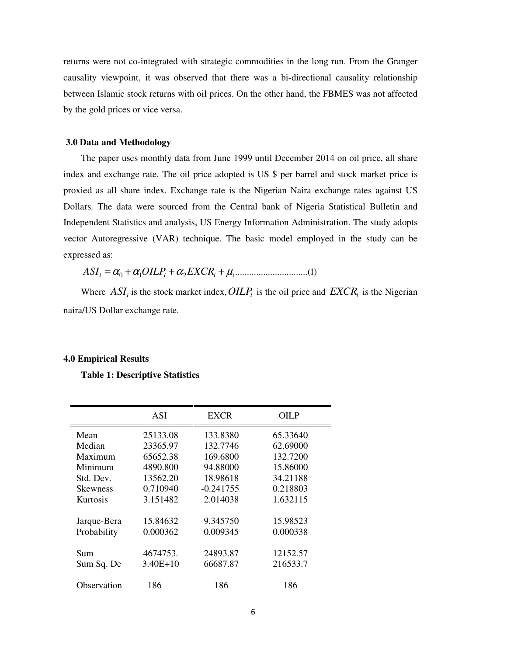returns were not co-integrated with strategic commodities in the long run. From the Granger causality viewpoint, it was observed that there was a bi-directional causality relationship between Islamic stock returns with oil prices. On the other hand, the FBMES was not affected by the gold prices or vice versa.

#### **3.0 Data and Methodology**

The paper uses monthly data from June 1999 until December 2014 on oil price, all share index and exchange rate. The oil price adopted is US \$ per barrel and stock market price is proxied as all share index. Exchange rate is the Nigerian Naira exchange rates against US Dollars. The data were sourced from the Central bank of Nigeria Statistical Bulletin and Independent Statistics and analysis, US Energy Information Administration. The study adopts vector Autoregressive (VAR) technique. The basic model employed in the study can be expressed as:

0 1 2 ...............................(1) *ASI OILP EXCR t t t* = + + + <sup>α</sup> <sup>α</sup> <sup>α</sup> <sup>µ</sup>*<sup>t</sup>*

Where  $ASI_t$  is the stock market index,  $OILP_t$  is the oil price and  $EXCR_t$  is the Nigerian naira/US Dollar exchange rate.

# **4.0 Empirical Results**

#### **Table 1: Descriptive Statistics**

|                 | ASI        | <b>EXCR</b> | OILP     |
|-----------------|------------|-------------|----------|
| Mean            | 25133.08   | 133.8380    | 65.33640 |
| Median          | 23365.97   | 132.7746    | 62.69000 |
| Maximum         | 65652.38   | 169.6800    | 132.7200 |
| Minimum         | 4890.800   | 94.88000    | 15.86000 |
| Std. Dev.       | 13562.20   | 18.98618    | 34.21188 |
| <b>Skewness</b> | 0.710940   | $-0.241755$ | 0.218803 |
| Kurtosis        | 3.151482   | 2.014038    | 1.632115 |
| Jarque-Bera     | 15.84632   | 9.345750    | 15.98523 |
| Probability     | 0.000362   | 0.009345    | 0.000338 |
| Sum             | 4674753.   | 24893.87    | 12152.57 |
| Sum Sq. De      | $3.40E+10$ | 66687.87    | 216533.7 |
| Observation     | 186        | 186         | 186      |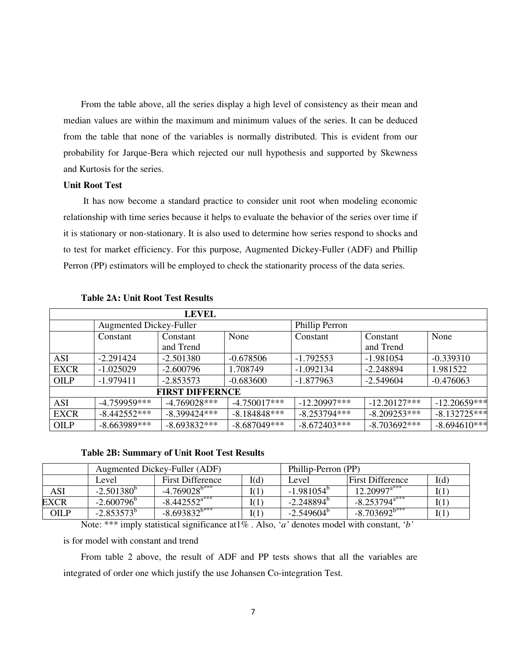From the table above, all the series display a high level of consistency as their mean and median values are within the maximum and minimum values of the series. It can be deduced from the table that none of the variables is normally distributed. This is evident from our probability for Jarque-Bera which rejected our null hypothesis and supported by Skewness and Kurtosis for the series.

# **Unit Root Test**

 It has now become a standard practice to consider unit root when modeling economic relationship with time series because it helps to evaluate the behavior of the series over time if it is stationary or non-stationary. It is also used to determine how series respond to shocks and to test for market efficiency. For this purpose, Augmented Dickey-Fuller (ADF) and Phillip Perron (PP) estimators will be employed to check the stationarity process of the data series.

|                                |                | <b>LEVEL</b>           |                |                |                |                |
|--------------------------------|----------------|------------------------|----------------|----------------|----------------|----------------|
| <b>Augmented Dickey-Fuller</b> |                |                        | Phillip Perron |                |                |                |
|                                | Constant       | Constant               | None           | Constant       | Constant       | None           |
|                                |                | and Trend              |                |                | and Trend      |                |
| <b>ASI</b>                     | $-2.291424$    | $-2.501380$            | $-0.678506$    | $-1.792553$    | $-1.981054$    | $-0.339310$    |
| <b>EXCR</b>                    | $-1.025029$    | $-2.600796$            | 1.708749       | $-1.092134$    | $-2.248894$    | 1.981522       |
| <b>OILP</b>                    | $-1.979411$    | $-2.853573$            | $-0.683600$    | $-1.877963$    | $-2.549604$    | $-0.476063$    |
|                                |                | <b>FIRST DIFFERNCE</b> |                |                |                |                |
| <b>ASI</b>                     | -4.759959***   | $-4.769028***$         | $-4.750017***$ | $-12.20997***$ | $-12.20127***$ | $-12.20659***$ |
| <b>EXCR</b>                    | $-8.442552***$ | $-8.399424***$         | $-8.184848***$ | $-8.253794***$ | $-8.209253***$ | $-8.132725***$ |
| <b>OILP</b>                    | $-8.663989***$ | $-8.693832***$         | $-8.687049***$ | $-8.672403***$ | $-8.703692***$ | $-8.694610***$ |

# **Table 2A: Unit Root Test Results**

#### **Table 2B: Summary of Unit Root Test Results**

|      | Augmented Dickey-Fuller (ADF) |                         |      | Phillip-Perron (PP) |                             |      |
|------|-------------------------------|-------------------------|------|---------------------|-----------------------------|------|
|      | Level                         | <b>First Difference</b> | I(d) | Level               | <b>First Difference</b>     | I(d) |
| ASI  | $-2.501380^{b}$               | $-4.769028^{b***}$      | I(1) | $-1.981054^{b}$     | $12.20997$ <sup>a***</sup>  | I(1) |
| EXCR | $-2.600796^{\circ}$           | $-8.442552^{a***}$      | I(1) | $-2.248894^{b}$     | $-8.253794$ <sup>a***</sup> | I(1) |
| OILP | $-2.853573^{b}$               | $-8.693832^{b***}$      | I(1) | $-2.549604^{\circ}$ | $-8.703692^{b***}$          | I(1) |

Note: \*\*\* imply statistical significance at1% . Also, '*a'* denotes model with constant, '*b'* 

is for model with constant and trend

From table 2 above, the result of ADF and PP tests shows that all the variables are integrated of order one which justify the use Johansen Co-integration Test.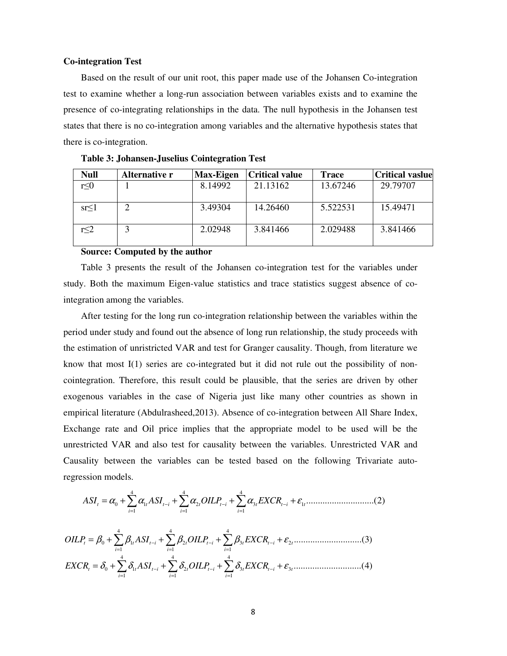#### **Co-integration Test**

Based on the result of our unit root, this paper made use of the Johansen Co-integration test to examine whether a long-run association between variables exists and to examine the presence of co-integrating relationships in the data. The null hypothesis in the Johansen test states that there is no co-integration among variables and the alternative hypothesis states that there is co-integration.

| <b>Null</b> | Alternative r | <b>Max-Eigen</b> | <b>Critical value</b> | <b>Trace</b> | <b>Critical vaslue</b> |
|-------------|---------------|------------------|-----------------------|--------------|------------------------|
| $r \leq 0$  |               | 8.14992          | 21.13162              | 13.67246     | 29.79707               |
| sr<1        |               | 3.49304          | 14.26460              | 5.522531     | 15.49471               |
| r<2         |               | 2.02948          | 3.841466              | 2.029488     | 3.841466               |

**Table 3: Johansen-Juselius Cointegration Test** 

#### **Source: Computed by the author**

Table 3 presents the result of the Johansen co-integration test for the variables under study. Both the maximum Eigen-value statistics and trace statistics suggest absence of cointegration among the variables.

After testing for the long run co-integration relationship between the variables within the period under study and found out the absence of long run relationship, the study proceeds with the estimation of unristricted VAR and test for Granger causality. Though, from literature we know that most I(1) series are co-integrated but it did not rule out the possibility of noncointegration. Therefore, this result could be plausible, that the series are driven by other exogenous variables in the case of Nigeria just like many other countries as shown in empirical literature (Abdulrasheed,2013). Absence of co-integration between All Share Index, Exchange rate and Oil price implies that the appropriate model to be used will be the unrestricted VAR and also test for causality between the variables. Unrestricted VAR and Causality between the variables can be tested based on the following Trivariate autoregression models.

4 4 4 0 1 2 3 1 1 1 1 .............................(2) *t t t i t t i t t i t i i i ASI ASI OILP EXCR* <sup>α</sup> <sup>α</sup> <sup>α</sup> <sup>α</sup> <sup>ε</sup> − − − = = = = + + + + ∑ ∑ ∑

4 4 4 0 1 2 3 2 1 1 1 .............................(3) *t t t i t t i t t i t i i i OILP ASI OILP EXCR* β β β β <sup>ε</sup> − − − = = = = + + + + ∑ ∑ ∑ 4 4 4 0 1 2 3 3 1 1 1 .............................(4) *t t t i t t i t t i t i i i EXCR ASI OILP EXCR* <sup>δ</sup> <sup>δ</sup> <sup>δ</sup> <sup>δ</sup> <sup>ε</sup> − − − = = = = + + + + ∑ ∑ ∑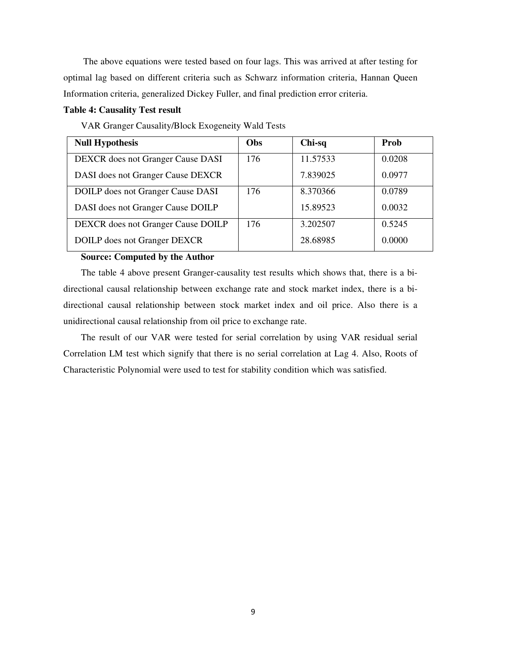The above equations were tested based on four lags. This was arrived at after testing for optimal lag based on different criteria such as Schwarz information criteria, Hannan Queen Information criteria, generalized Dickey Fuller, and final prediction error criteria.

# **Table 4: Causality Test result**

| VAR Granger Causality/Block Exogeneity Wald Tests |
|---------------------------------------------------|
|---------------------------------------------------|

| <b>Null Hypothesis</b>             | Obs | Chi-sq   | <b>Prob</b> |
|------------------------------------|-----|----------|-------------|
| DEXCR does not Granger Cause DASI  | 176 | 11.57533 | 0.0208      |
| DASI does not Granger Cause DEXCR  |     | 7.839025 | 0.0977      |
| DOILP does not Granger Cause DASI  | 176 | 8.370366 | 0.0789      |
| DASI does not Granger Cause DOILP  |     | 15.89523 | 0.0032      |
| DEXCR does not Granger Cause DOILP | 176 | 3.202507 | 0.5245      |
| DOILP does not Granger DEXCR       |     | 28.68985 | 0.0000      |

# **Source: Computed by the Author**

The table 4 above present Granger-causality test results which shows that, there is a bidirectional causal relationship between exchange rate and stock market index, there is a bidirectional causal relationship between stock market index and oil price. Also there is a unidirectional causal relationship from oil price to exchange rate.

The result of our VAR were tested for serial correlation by using VAR residual serial Correlation LM test which signify that there is no serial correlation at Lag 4. Also, Roots of Characteristic Polynomial were used to test for stability condition which was satisfied.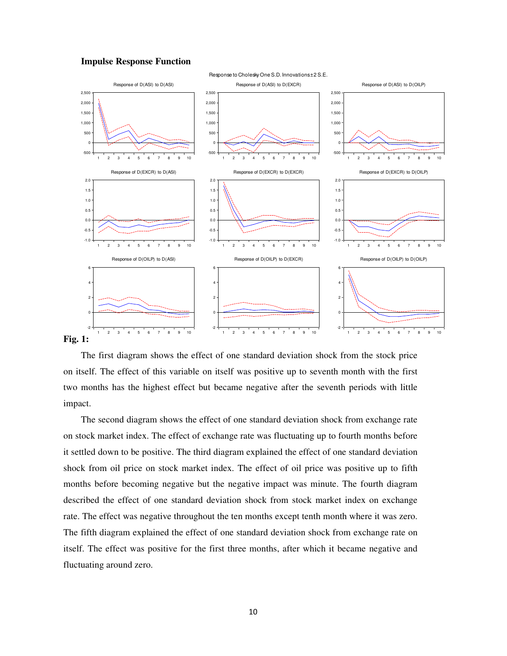#### **Impulse Response Function**



# **Fig. 1:**

The first diagram shows the effect of one standard deviation shock from the stock price on itself. The effect of this variable on itself was positive up to seventh month with the first two months has the highest effect but became negative after the seventh periods with little impact.

The second diagram shows the effect of one standard deviation shock from exchange rate on stock market index. The effect of exchange rate was fluctuating up to fourth months before it settled down to be positive. The third diagram explained the effect of one standard deviation shock from oil price on stock market index. The effect of oil price was positive up to fifth months before becoming negative but the negative impact was minute. The fourth diagram described the effect of one standard deviation shock from stock market index on exchange rate. The effect was negative throughout the ten months except tenth month where it was zero. The fifth diagram explained the effect of one standard deviation shock from exchange rate on itself. The effect was positive for the first three months, after which it became negative and fluctuating around zero.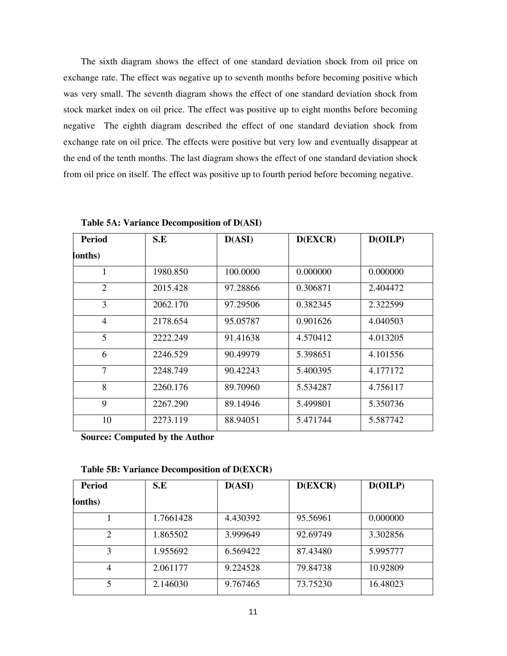The sixth diagram shows the effect of one standard deviation shock from oil price on exchange rate. The effect was negative up to seventh months before becoming positive which was very small. The seventh diagram shows the effect of one standard deviation shock from stock market index on oil price. The effect was positive up to eight months before becoming negative The eighth diagram described the effect of one standard deviation shock from exchange rate on oil price. The effects were positive but very low and eventually disappear at the end of the tenth months. The last diagram shows the effect of one standard deviation shock from oil price on itself. The effect was positive up to fourth period before becoming negative.

| <b>Period</b>  | S.E      | D(ASI)   | D(EXCR)  | D(OILP)  |
|----------------|----------|----------|----------|----------|
| (onths         |          |          |          |          |
| 1              | 1980.850 | 100.0000 | 0.000000 | 0.000000 |
| $\overline{2}$ | 2015.428 | 97.28866 | 0.306871 | 2.404472 |
| 3              | 2062.170 | 97.29506 | 0.382345 | 2.322599 |
| $\overline{4}$ | 2178.654 | 95.05787 | 0.901626 | 4.040503 |
| 5              | 2222.249 | 91.41638 | 4.570412 | 4.013205 |
| 6              | 2246.529 | 90.49979 | 5.398651 | 4.101556 |
| 7              | 2248.749 | 90.42243 | 5.400395 | 4.177172 |
| 8              | 2260.176 | 89.70960 | 5.534287 | 4.756117 |
| 9              | 2267.290 | 89.14946 | 5.499801 | 5.350736 |
| 10             | 2273.119 | 88.94051 | 5.471744 | 5.587742 |

**Table 5A: Variance Decomposition of D(ASI)** 

**Source: Computed by the Author** 

| <b>Period</b>  | S.E       | D(ASI)   | D(EXCR)  | D(OILP)  |
|----------------|-----------|----------|----------|----------|
| (onths         |           |          |          |          |
|                | 1.7661428 | 4.430392 | 95.56961 | 0.000000 |
| $\overline{2}$ | 1.865502  | 3.999649 | 92.69749 | 3.302856 |
| 3              | 1.955692  | 6.569422 | 87.43480 | 5.995777 |
| 4              | 2.061177  | 9.224528 | 79.84738 | 10.92809 |
| 5              | 2.146030  | 9.767465 | 73.75230 | 16.48023 |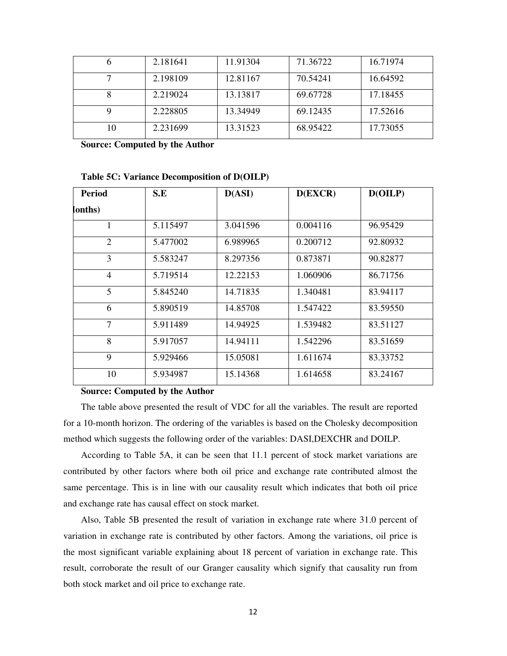|    | 2.181641 | 11.91304 | 71.36722 | 16.71974 |
|----|----------|----------|----------|----------|
|    | 2.198109 | 12.81167 | 70.54241 | 16.64592 |
|    | 2.219024 | 13.13817 | 69.67728 | 17.18455 |
|    | 2.228805 | 13.34949 | 69.12435 | 17.52616 |
| 10 | 2.231699 | 13.31523 | 68.95422 | 17.73055 |

**Source: Computed by the Author** 

| <b>Period</b>  | S.E      | D(ASI)   | D(EXCR)  | D(OILP)  |
|----------------|----------|----------|----------|----------|
| (onths         |          |          |          |          |
| 1              | 5.115497 | 3.041596 | 0.004116 | 96.95429 |
| 2              | 5.477002 | 6.989965 | 0.200712 | 92.80932 |
| 3              | 5.583247 | 8.297356 | 0.873871 | 90.82877 |
| $\overline{4}$ | 5.719514 | 12.22153 | 1.060906 | 86.71756 |
| 5              | 5.845240 | 14.71835 | 1.340481 | 83.94117 |
| 6              | 5.890519 | 14.85708 | 1.547422 | 83.59550 |
| 7              | 5.911489 | 14.94925 | 1.539482 | 83.51127 |
| 8              | 5.917057 | 14.94111 | 1.542296 | 83.51659 |
| 9              | 5.929466 | 15.05081 | 1.611674 | 83.33752 |
| 10             | 5.934987 | 15.14368 | 1.614658 | 83.24167 |

**Table 5C: Variance Decomposition of D(OILP)** 

#### **Source: Computed by the Author**

The table above presented the result of VDC for all the variables. The result are reported for a 10-month horizon. The ordering of the variables is based on the Cholesky decomposition method which suggests the following order of the variables: DASI,DEXCHR and DOILP.

According to Table 5A, it can be seen that 11.1 percent of stock market variations are contributed by other factors where both oil price and exchange rate contributed almost the same percentage. This is in line with our causality result which indicates that both oil price and exchange rate has causal effect on stock market.

Also, Table 5B presented the result of variation in exchange rate where 31.0 percent of variation in exchange rate is contributed by other factors. Among the variations, oil price is the most significant variable explaining about 18 percent of variation in exchange rate. This result, corroborate the result of our Granger causality which signify that causality run from both stock market and oil price to exchange rate.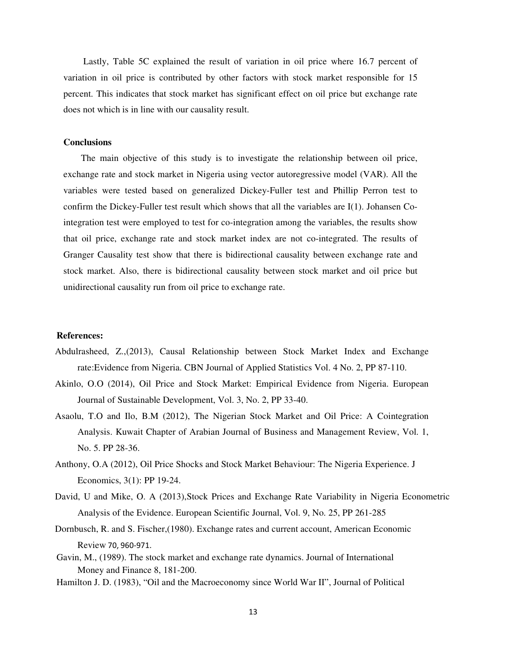Lastly, Table 5C explained the result of variation in oil price where 16.7 percent of variation in oil price is contributed by other factors with stock market responsible for 15 percent. This indicates that stock market has significant effect on oil price but exchange rate does not which is in line with our causality result.

#### **Conclusions**

The main objective of this study is to investigate the relationship between oil price, exchange rate and stock market in Nigeria using vector autoregressive model (VAR). All the variables were tested based on generalized Dickey-Fuller test and Phillip Perron test to confirm the Dickey-Fuller test result which shows that all the variables are I(1). Johansen Cointegration test were employed to test for co-integration among the variables, the results show that oil price, exchange rate and stock market index are not co-integrated. The results of Granger Causality test show that there is bidirectional causality between exchange rate and stock market. Also, there is bidirectional causality between stock market and oil price but unidirectional causality run from oil price to exchange rate.

#### **References:**

- Abdulrasheed, Z.,(2013), Causal Relationship between Stock Market Index and Exchange rate:Evidence from Nigeria. CBN Journal of Applied Statistics Vol. 4 No. 2, PP 87-110.
- Akinlo, O.O (2014), Oil Price and Stock Market: Empirical Evidence from Nigeria. European Journal of Sustainable Development, Vol. 3, No. 2, PP 33-40.
- Asaolu, T.O and Ilo, B.M (2012), The Nigerian Stock Market and Oil Price: A Cointegration Analysis. Kuwait Chapter of Arabian Journal of Business and Management Review, Vol. 1, No. 5. PP 28-36.
- Anthony, O.A (2012), Oil Price Shocks and Stock Market Behaviour: The Nigeria Experience. J Economics, 3(1): PP 19-24.
- David, U and Mike, O. A (2013),Stock Prices and Exchange Rate Variability in Nigeria Econometric Analysis of the Evidence. European Scientific Journal, Vol. 9, No. 25, PP 261-285
- Dornbusch, R. and S. Fischer,(1980). Exchange rates and current account, American Economic Review 70, 960-971.
- Gavin, M., (1989). The stock market and exchange rate dynamics. Journal of International Money and Finance 8, 181-200.
- Hamilton J. D. (1983), "Oil and the Macroeconomy since World War II", Journal of Political